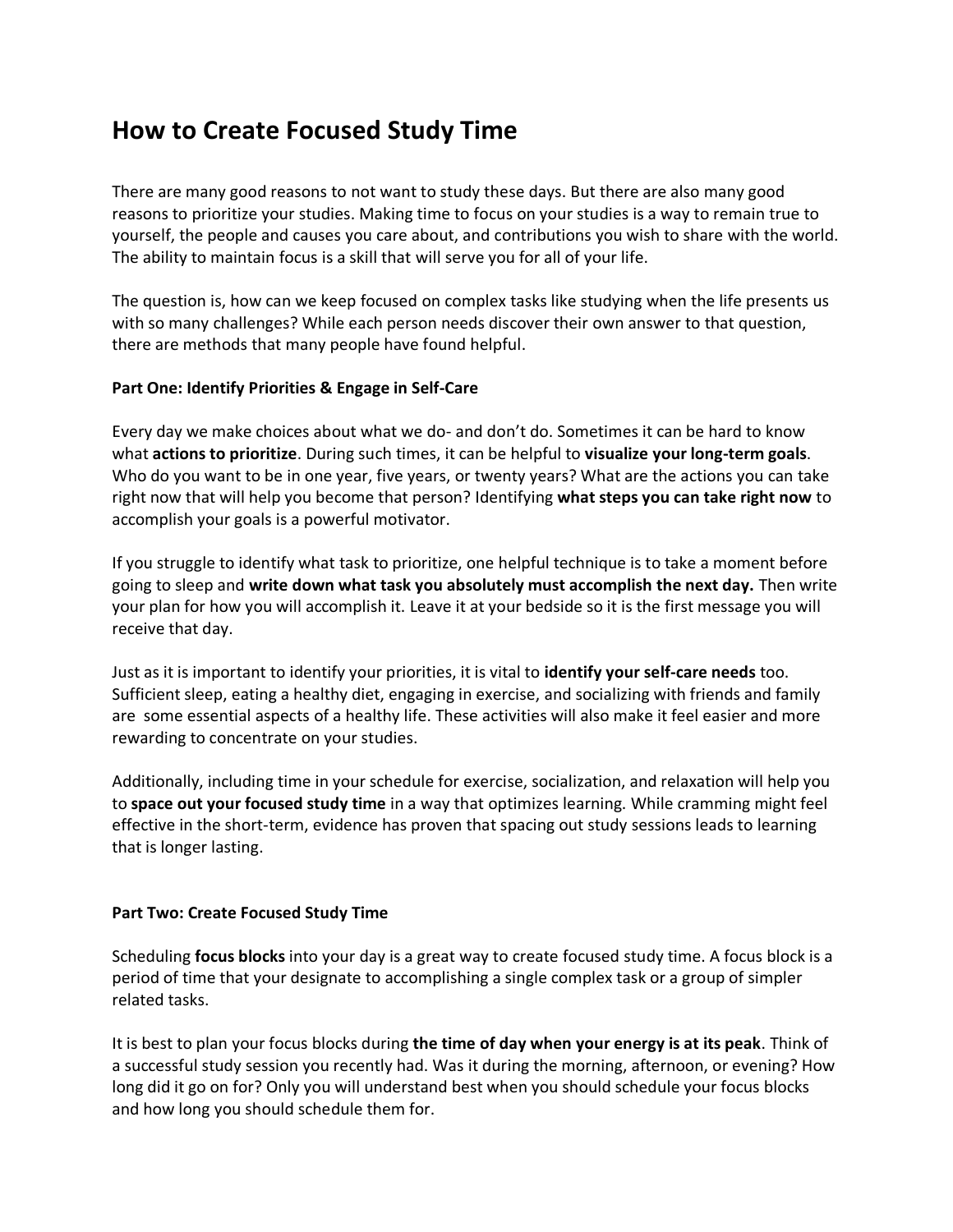## **How to Create Focused Study Time**

There are many good reasons to not want to study these days. But there are also many good reasons to prioritize your studies. Making time to focus on your studies is a way to remain true to yourself, the people and causes you care about, and contributions you wish to share with the world. The ability to maintain focus is a skill that will serve you for all of your life.

The question is, how can we keep focused on complex tasks like studying when the life presents us with so many challenges? While each person needs discover their own answer to that question, there are methods that many people have found helpful.

## **Part One: Identify Priorities & Engage in Self-Care**

Every day we make choices about what we do- and don't do. Sometimes it can be hard to know what **actions to prioritize**. During such times, it can be helpful to **visualize your long-term goals**. Who do you want to be in one year, five years, or twenty years? What are the actions you can take right now that will help you become that person? Identifying **what steps you can take right now** to accomplish your goals is a powerful motivator.

If you struggle to identify what task to prioritize, one helpful technique is to take a moment before going to sleep and **write down what task you absolutely must accomplish the next day.** Then write your plan for how you will accomplish it. Leave it at your bedside so it is the first message you will receive that day.

Just as it is important to identify your priorities, it is vital to **identify your self-care needs** too. Sufficient sleep, eating a healthy diet, engaging in exercise, and socializing with friends and family are some essential aspects of a healthy life. These activities will also make it feel easier and more rewarding to concentrate on your studies.

Additionally, including time in your schedule for exercise, socialization, and relaxation will help you to **space out your focused study time** in a way that optimizes learning. While cramming might feel effective in the short-term, evidence has proven that spacing out study sessions leads to learning that is longer lasting.

## **Part Two: Create Focused Study Time**

Scheduling **focus blocks** into your day is a great way to create focused study time. A focus block is a period of time that your designate to accomplishing a single complex task or a group of simpler related tasks.

It is best to plan your focus blocks during **the time of day when your energy is at its peak**. Think of a successful study session you recently had. Was it during the morning, afternoon, or evening? How long did it go on for? Only you will understand best when you should schedule your focus blocks and how long you should schedule them for.